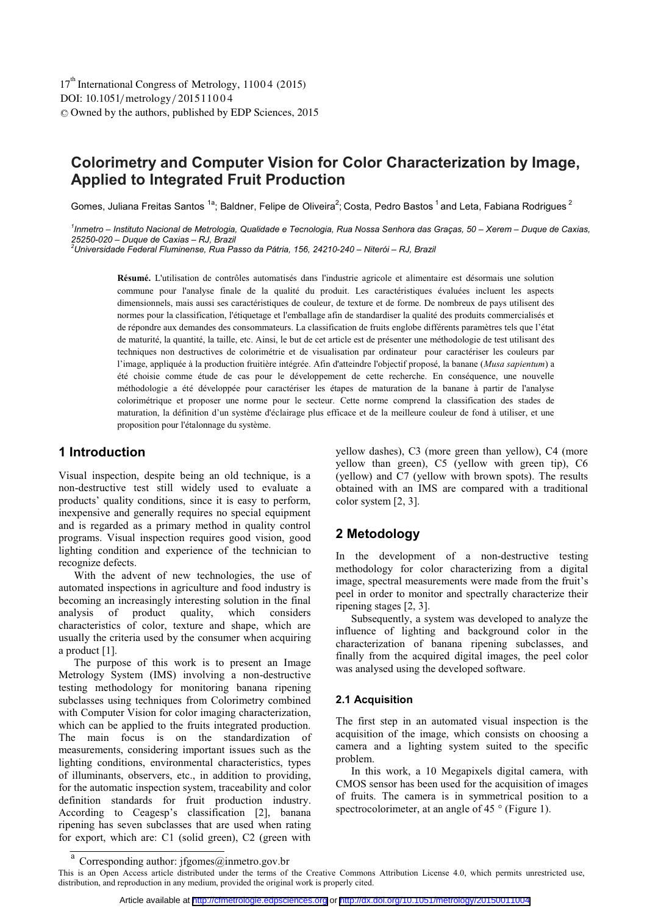DOI: 10.1051/ metrology/2015 110 0 4 -<sup>C</sup> Owned by the authors, published by EDP Sciences, 2015 17<sup>th</sup> International Congress of Metrology, 11004 (2015)

# **Colorimetry and Computer Vision for Color Characterization by Image, Applied to Integrated Fruit Production**

Gomes, Juliana Freitas Santos <sup>1a</sup>; Baldner, Felipe de Oliveira<sup>2</sup>; Costa, Pedro Bastos <sup>1</sup> and Leta, Fabiana Rodrigues <sup>2</sup>

*1 Inmetro – Instituto Nacional de Metrologia, Qualidade e Tecnologia, Rua Nossa Senhora das Graças, 50 – Xerem – Duque de Caxias, 25250-020 – Duque de Caxias – RJ, Brazil 2 Universidade Federal Fluminense, Rua Passo da Pátria, 156, 24210-240 – Niterói – RJ, Brazil* 

**Résumé.** L'utilisation de contrôles automatisés dans l'industrie agricole et alimentaire est désormais une solution commune pour l'analyse finale de la qualité du produit. Les caractéristiques évaluées incluent les aspects dimensionnels, mais aussi ses caractéristiques de couleur, de texture et de forme. De nombreux de pays utilisent des normes pour la classification, l'étiquetage et l'emballage afin de standardiser la qualité des produits commercialisés et de répondre aux demandes des consommateurs. La classification de fruits englobe différents paramètres tels que l'état de maturité, la quantité, la taille, etc. Ainsi, le but de cet article est de présenter une méthodologie de test utilisant des techniques non destructives de colorimétrie et de visualisation par ordinateur pour caractériser les couleurs par l'image, appliquée à la production fruitière intégrée. Afin d'atteindre l'objectif proposé, la banane (*Musa sapientum*) a été choisie comme étude de cas pour le développement de cette recherche. En conséquence, une nouvelle méthodologie a été développée pour caractériser les étapes de maturation de la banane à partir de l'analyse colorimétrique et proposer une norme pour le secteur. Cette norme comprend la classification des stades de maturation, la définition d'un système d'éclairage plus efficace et de la meilleure couleur de fond à utiliser, et une proposition pour l'étalonnage du système.

### **1 Introduction**

Visual inspection, despite being an old technique, is a non-destructive test still widely used to evaluate a products' quality conditions, since it is easy to perform, inexpensive and generally requires no special equipment and is regarded as a primary method in quality control programs. Visual inspection requires good vision, good lighting condition and experience of the technician to recognize defects.

With the advent of new technologies, the use of automated inspections in agriculture and food industry is becoming an increasingly interesting solution in the final<br>analysis of product quality, which considers analysis of product quality, which considers characteristics of color, texture and shape, which are usually the criteria used by the consumer when acquiring a product [1].

The purpose of this work is to present an Image Metrology System (IMS) involving a non-destructive testing methodology for monitoring banana ripening subclasses using techniques from Colorimetry combined with Computer Vision for color imaging characterization, which can be applied to the fruits integrated production. The main focus is on the standardization of measurements, considering important issues such as the lighting conditions, environmental characteristics, types of illuminants, observers, etc., in addition to providing, for the automatic inspection system, traceability and color definition standards for fruit production industry. According to Ceagesp's classification [2], banana ripening has seven subclasses that are used when rating for export, which are: C1 (solid green), C2 (green with

yellow dashes), C3 (more green than yellow), C4 (more yellow than green), C5 (yellow with green tip), C6 (yellow) and C7 (yellow with brown spots). The results obtained with an IMS are compared with a traditional color system [2, 3].

## **2 Metodology**

In the development of a non-destructive testing methodology for color characterizing from a digital image, spectral measurements were made from the fruit's peel in order to monitor and spectrally characterize their ripening stages [2, 3].

Subsequently, a system was developed to analyze the influence of lighting and background color in the characterization of banana ripening subclasses, and finally from the acquired digital images, the peel color was analysed using the developed software.

#### **2.1 Acquisition**

The first step in an automated visual inspection is the acquisition of the image, which consists on choosing a camera and a lighting system suited to the specific problem.

In this work, a 10 Megapixels digital camera, with CMOS sensor has been used for the acquisition of images of fruits. The camera is in symmetrical position to a spectrocolorimeter, at an angle of 45 ° (Figure 1).

Corresponding author: jfgomes@inmetro.gov.br

This is an Open Access article distributed under the terms of the Creative Commons Attribution License 4.0, which permits unrestricted use, distribution, and reproduction in any medium, provided the original work is properly cited.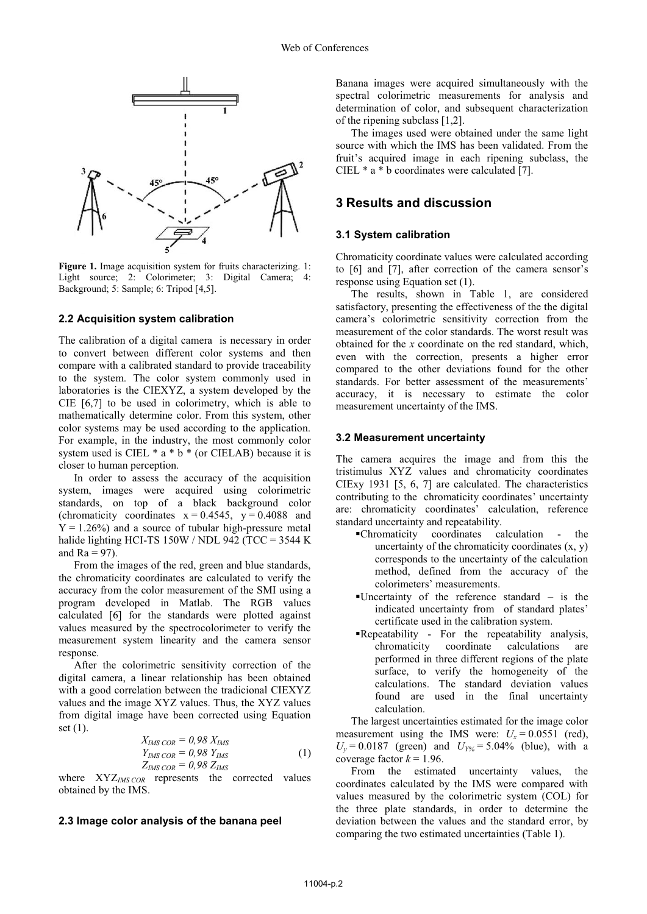

**Figure 1.** Image acquisition system for fruits characterizing. 1: Light source; 2: Colorimeter; 3: Digital Camera; 4: Background; 5: Sample; 6: Tripod [4,5].

#### **2.2 Acquisition system calibration**

The calibration of a digital camera is necessary in order to convert between different color systems and then compare with a calibrated standard to provide traceability to the system. The color system commonly used in laboratories is the CIEXYZ, a system developed by the CIE [6,7] to be used in colorimetry, which is able to mathematically determine color. From this system, other color systems may be used according to the application. For example, in the industry, the most commonly color system used is CIEL \* a \* b \* (or CIELAB) because it is closer to human perception.

In order to assess the accuracy of the acquisition system, images were acquired using colorimetric standards, on top of a black background color (chromaticity coordinates  $x = 0.4545$ ,  $y = 0.4088$  and  $Y = 1.26\%$ ) and a source of tubular high-pressure metal halide lighting HCI-TS 150W / NDL 942 (TCC = 3544 K and  $Ra = 97$ ).

From the images of the red, green and blue standards, the chromaticity coordinates are calculated to verify the accuracy from the color measurement of the SMI using a program developed in Matlab. The RGB values calculated [6] for the standards were plotted against values measured by the spectrocolorimeter to verify the measurement system linearity and the camera sensor response.

After the colorimetric sensitivity correction of the digital camera, a linear relationship has been obtained with a good correlation between the tradicional CIEXYZ values and the image XYZ values. Thus, the XYZ values from digital image have been corrected using Equation set (1).

$$
X_{IMS\,COR} = 0.98 \, X_{IMS}
$$
  
\n
$$
Y_{IMS\,COR} = 0.98 \, Y_{IMS}
$$
  
\n
$$
Z_{IMS\,COR} = 0.98 \, Z_{IMS}
$$
\n(1)

where XYZ*IMS COR* represents the corrected values obtained by the IMS.

#### **2.3 Image color analysis of the banana peel**

Banana images were acquired simultaneously with the spectral colorimetric measurements for analysis and determination of color, and subsequent characterization of the ripening subclass [1,2].

The images used were obtained under the same light source with which the IMS has been validated. From the fruit's acquired image in each ripening subclass, the CIEL \* a \* b coordinates were calculated [7].

### **3 Results and discussion**

#### **3.1 System calibration**

Chromaticity coordinate values were calculated according to [6] and [7], after correction of the camera sensor's response using Equation set (1).

The results, shown in Table 1, are considered satisfactory, presenting the effectiveness of the the digital camera's colorimetric sensitivity correction from the measurement of the color standards. The worst result was obtained for the *x* coordinate on the red standard, which, even with the correction, presents a higher error compared to the other deviations found for the other standards. For better assessment of the measurements' accuracy, it is necessary to estimate the color measurement uncertainty of the IMS.

#### **3.2 Measurement uncertainty**

The camera acquires the image and from this the tristimulus XYZ values and chromaticity coordinates CIExy 1931 [5, 6, 7] are calculated. The characteristics contributing to the chromaticity coordinates' uncertainty are: chromaticity coordinates' calculation, reference standard uncertainty and repeatability.

- -Chromaticity coordinates calculation the uncertainty of the chromaticity coordinates  $(x, y)$ corresponds to the uncertainty of the calculation method, defined from the accuracy of the colorimeters' measurements.
- -Uncertainty of the reference standard is the indicated uncertainty from of standard plates' certificate used in the calibration system.
- -Repeatability For the repeatability analysis, chromaticity coordinate calculations are performed in three different regions of the plate surface, to verify the homogeneity of the calculations. The standard deviation values found are used in the final uncertainty calculation.

The largest uncertainties estimated for the image color measurement using the IMS were:  $U_x = 0.0551$  (red),  $U_y = 0.0187$  (green) and  $U_{Y\%} = 5.04\%$  (blue), with a coverage factor  $k = 1.96$ .

From the estimated uncertainty values, the coordinates calculated by the IMS were compared with values measured by the colorimetric system (COL) for the three plate standards, in order to determine the deviation between the values and the standard error, by comparing the two estimated uncertainties (Table 1).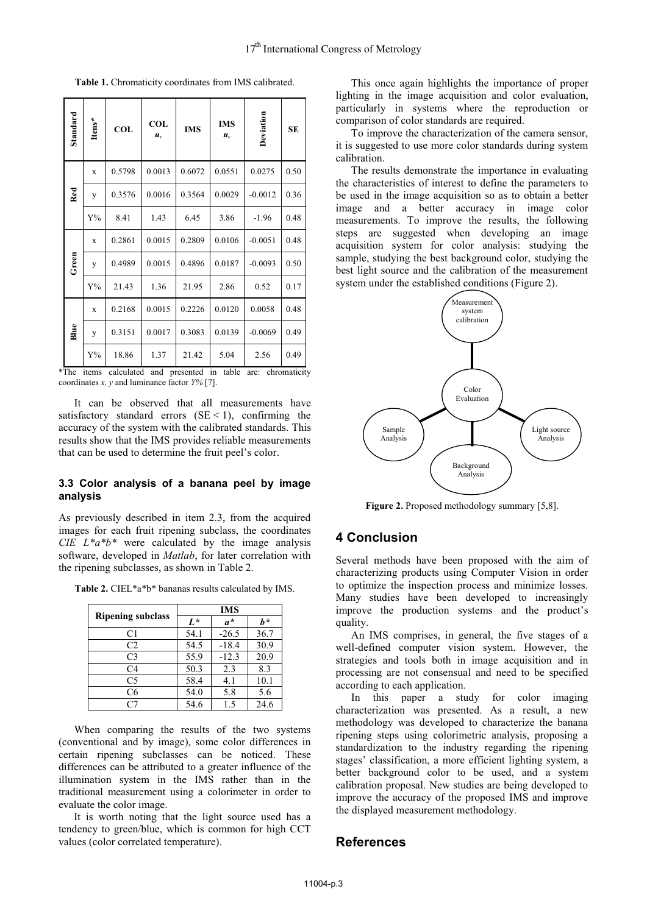| Standard | Itens*      | <b>COL</b> | COL<br>$u_c$ | <b>IMS</b> | <b>IMS</b><br>$u_c$ | Deviation | <b>SE</b> |
|----------|-------------|------------|--------------|------------|---------------------|-----------|-----------|
| Red      | $\mathbf x$ | 0.5798     | 0.0013       | 0.6072     | 0.0551              | 0.0275    | 0.50      |
|          | y           | 0.3576     | 0.0016       | 0.3564     | 0.0029              | $-0.0012$ | 0.36      |
|          | ${\rm Y\%}$ | 8.41       | 1.43         | 6.45       | 3.86                | $-1.96$   | 0.48      |
| Green    | X           | 0.2861     | 0.0015       | 0.2809     | 0.0106              | $-0.0051$ | 0.48      |
|          | y           | 0.4989     | 0.0015       | 0.4896     | 0.0187              | $-0.0093$ | 0.50      |
|          | ${\rm Y\%}$ | 21.43      | 1.36         | 21.95      | 2.86                | 0.52      | 0.17      |
| Blue     | $\mathbf x$ | 0.2168     | 0.0015       | 0.2226     | 0.0120              | 0.0058    | 0.48      |
|          | y           | 0.3151     | 0.0017       | 0.3083     | 0.0139              | $-0.0069$ | 0.49      |
|          | ${\rm Y\%}$ | 18.86      | 1.37         | 21.42      | 5.04                | 2.56      | 0.49      |

**Table 1.** Chromaticity coordinates from IMS calibrated.

\*The items calculated and presented in table are: chromaticity coordinates *x, y* and luminance factor *Y%* [7].

It can be observed that all measurements have satisfactory standard errors  $(SE < 1)$ , confirming the accuracy of the system with the calibrated standards. This results show that the IMS provides reliable measurements that can be used to determine the fruit peel's color.

### **3.3 Color analysis of a banana peel by image analysis**

As previously described in item 2.3, from the acquired images for each fruit ripening subclass, the coordinates *CIE L\*a\*b\** were calculated by the image analysis software, developed in *Matlab*, for later correlation with the ripening subclasses, as shown in Table 2.

**Table 2.** CIEL\*a\*b\* bananas results calculated by IMS.

| <b>Ripening subclass</b> | <b>IMS</b> |         |      |  |
|--------------------------|------------|---------|------|--|
|                          | $L^*$      | $a^*$   | h*   |  |
| C1                       | 54.1       | $-26.5$ | 36.7 |  |
| C <sub>2</sub>           | 54.5       | $-18.4$ | 30.9 |  |
| C <sub>3</sub>           | 55.9       | $-12.3$ | 20.9 |  |
| C <sub>4</sub>           | 50.3       | 2.3     | 8.3  |  |
| C5                       | 58.4       | 4.1     | 10.1 |  |
| C <sub>6</sub>           | 54.0       | 5.8     | 5.6  |  |
| Γ7                       | 54.6       | 1.5     | 24.6 |  |

When comparing the results of the two systems (conventional and by image), some color differences in certain ripening subclasses can be noticed. These differences can be attributed to a greater influence of the illumination system in the IMS rather than in the traditional measurement using a colorimeter in order to evaluate the color image.

It is worth noting that the light source used has a tendency to green/blue, which is common for high CCT values (color correlated temperature).

This once again highlights the importance of proper lighting in the image acquisition and color evaluation, particularly in systems where the reproduction or comparison of color standards are required.

To improve the characterization of the camera sensor, it is suggested to use more color standards during system calibration.

The results demonstrate the importance in evaluating the characteristics of interest to define the parameters to be used in the image acquisition so as to obtain a better image and a better accuracy in image color measurements. To improve the results, the following steps are suggested when developing an image acquisition system for color analysis: studying the sample, studying the best background color, studying the best light source and the calibration of the measurement system under the established conditions (Figure 2).



**Figure 2.** Proposed methodology summary [5,8].

# **4 Conclusion**

Several methods have been proposed with the aim of characterizing products using Computer Vision in order to optimize the inspection process and minimize losses. Many studies have been developed to increasingly improve the production systems and the product's quality.

An IMS comprises, in general, the five stages of a well-defined computer vision system. However, the strategies and tools both in image acquisition and in processing are not consensual and need to be specified according to each application.

In this paper a study for color imaging characterization was presented. As a result, a new methodology was developed to characterize the banana ripening steps using colorimetric analysis, proposing a standardization to the industry regarding the ripening stages' classification, a more efficient lighting system, a better background color to be used, and a system calibration proposal. New studies are being developed to improve the accuracy of the proposed IMS and improve the displayed measurement methodology.

### **References**